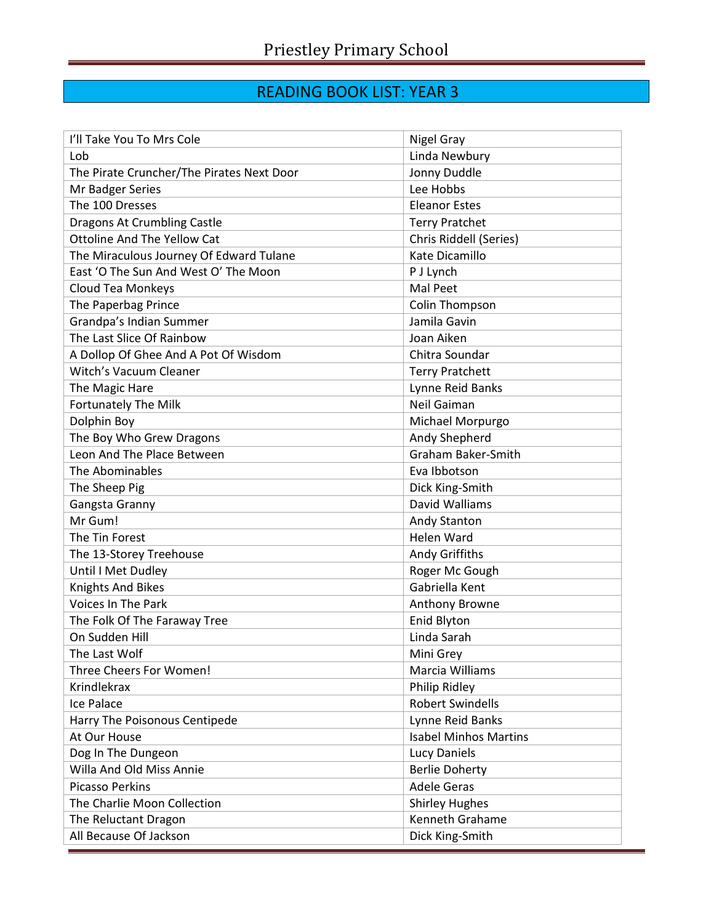## READING BOOK LIST: YEAR 3

| I'll Take You To Mrs Cole                 | Nigel Gray                   |
|-------------------------------------------|------------------------------|
| Lob                                       | Linda Newbury                |
| The Pirate Cruncher/The Pirates Next Door | Jonny Duddle                 |
| Mr Badger Series                          | Lee Hobbs                    |
| The 100 Dresses                           | <b>Eleanor Estes</b>         |
| <b>Dragons At Crumbling Castle</b>        | <b>Terry Pratchet</b>        |
| <b>Ottoline And The Yellow Cat</b>        | Chris Riddell (Series)       |
| The Miraculous Journey Of Edward Tulane   | Kate Dicamillo               |
| East 'O The Sun And West O' The Moon      | P J Lynch                    |
| Cloud Tea Monkeys                         | Mal Peet                     |
| The Paperbag Prince                       | Colin Thompson               |
| Grandpa's Indian Summer                   | Jamila Gavin                 |
| The Last Slice Of Rainbow                 | Joan Aiken                   |
| A Dollop Of Ghee And A Pot Of Wisdom      | Chitra Soundar               |
| Witch's Vacuum Cleaner                    | <b>Terry Pratchett</b>       |
| The Magic Hare                            | Lynne Reid Banks             |
| <b>Fortunately The Milk</b>               | Neil Gaiman                  |
| Dolphin Boy                               | Michael Morpurgo             |
| The Boy Who Grew Dragons                  | Andy Shepherd                |
| Leon And The Place Between                | <b>Graham Baker-Smith</b>    |
| The Abominables                           | Eva Ibbotson                 |
| The Sheep Pig                             | Dick King-Smith              |
| Gangsta Granny                            | David Walliams               |
| Mr Gum!                                   | Andy Stanton                 |
| The Tin Forest                            | Helen Ward                   |
| The 13-Storey Treehouse                   | Andy Griffiths               |
| Until I Met Dudley                        | Roger Mc Gough               |
| <b>Knights And Bikes</b>                  | Gabriella Kent               |
| <b>Voices In The Park</b>                 | Anthony Browne               |
| The Folk Of The Faraway Tree              | Enid Blyton                  |
| On Sudden Hill                            | Linda Sarah                  |
| The Last Wolf                             | Mini Grey                    |
| Three Cheers For Women!                   | Marcia Williams              |
| <b>Krindlekrax</b>                        | Philip Ridley                |
| <b>Ice Palace</b>                         | <b>Robert Swindells</b>      |
| Harry The Poisonous Centipede             | Lynne Reid Banks             |
| At Our House                              | <b>Isabel Minhos Martins</b> |
| Dog In The Dungeon                        | Lucy Daniels                 |
| Willa And Old Miss Annie                  | <b>Berlie Doherty</b>        |
| <b>Picasso Perkins</b>                    | <b>Adele Geras</b>           |
| The Charlie Moon Collection               | <b>Shirley Hughes</b>        |
| The Reluctant Dragon                      | Kenneth Grahame              |
| All Because Of Jackson                    | Dick King-Smith              |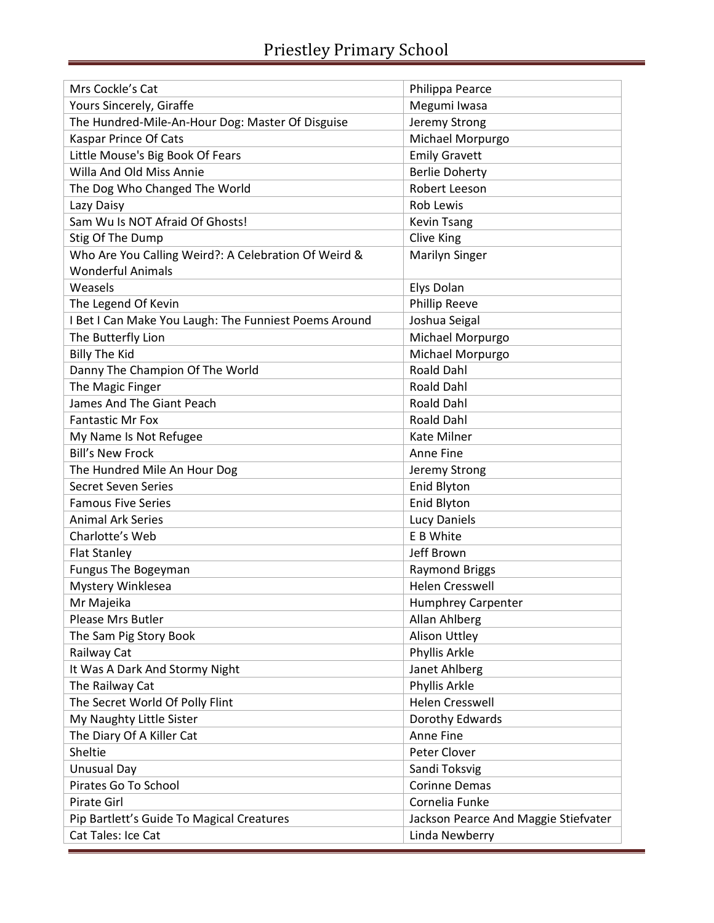ī

| Mrs Cockle's Cat                                      | Philippa Pearce                      |
|-------------------------------------------------------|--------------------------------------|
| Yours Sincerely, Giraffe                              | Megumi Iwasa                         |
| The Hundred-Mile-An-Hour Dog: Master Of Disguise      | Jeremy Strong                        |
| <b>Kaspar Prince Of Cats</b>                          | Michael Morpurgo                     |
| Little Mouse's Big Book Of Fears                      | <b>Emily Gravett</b>                 |
| Willa And Old Miss Annie                              | <b>Berlie Doherty</b>                |
| The Dog Who Changed The World                         | Robert Leeson                        |
| Lazy Daisy                                            | <b>Rob Lewis</b>                     |
| Sam Wu Is NOT Afraid Of Ghosts!                       | <b>Kevin Tsang</b>                   |
| Stig Of The Dump                                      | Clive King                           |
| Who Are You Calling Weird?: A Celebration Of Weird &  | Marilyn Singer                       |
| <b>Wonderful Animals</b>                              |                                      |
| Weasels                                               | Elys Dolan                           |
| The Legend Of Kevin                                   | <b>Phillip Reeve</b>                 |
| I Bet I Can Make You Laugh: The Funniest Poems Around | Joshua Seigal                        |
| The Butterfly Lion                                    | Michael Morpurgo                     |
| <b>Billy The Kid</b>                                  | Michael Morpurgo                     |
| Danny The Champion Of The World                       | <b>Roald Dahl</b>                    |
| The Magic Finger                                      | <b>Roald Dahl</b>                    |
| James And The Giant Peach                             | <b>Roald Dahl</b>                    |
| <b>Fantastic Mr Fox</b>                               | <b>Roald Dahl</b>                    |
| My Name Is Not Refugee                                | <b>Kate Milner</b>                   |
| <b>Bill's New Frock</b>                               | Anne Fine                            |
| The Hundred Mile An Hour Dog                          | Jeremy Strong                        |
| <b>Secret Seven Series</b>                            | <b>Enid Blyton</b>                   |
| <b>Famous Five Series</b>                             | <b>Enid Blyton</b>                   |
| <b>Animal Ark Series</b>                              | <b>Lucy Daniels</b>                  |
| Charlotte's Web                                       | E B White                            |
| <b>Flat Stanley</b>                                   | Jeff Brown                           |
| <b>Fungus The Bogeyman</b>                            | <b>Raymond Briggs</b>                |
| Mystery Winklesea                                     | Helen Cresswell                      |
| Mr Majeika                                            | <b>Humphrey Carpenter</b>            |
| Please Mrs Butler                                     | Allan Ahlberg                        |
| The Sam Pig Story Book                                | Alison Uttley                        |
| Railway Cat                                           | Phyllis Arkle                        |
| It Was A Dark And Stormy Night                        | Janet Ahlberg                        |
| The Railway Cat                                       | Phyllis Arkle                        |
| The Secret World Of Polly Flint                       | <b>Helen Cresswell</b>               |
| My Naughty Little Sister                              | Dorothy Edwards                      |
| The Diary Of A Killer Cat                             | Anne Fine                            |
| Sheltie                                               | Peter Clover                         |
| <b>Unusual Day</b>                                    | Sandi Toksvig                        |
| Pirates Go To School                                  | <b>Corinne Demas</b>                 |
| Pirate Girl                                           | Cornelia Funke                       |
| Pip Bartlett's Guide To Magical Creatures             | Jackson Pearce And Maggie Stiefvater |
| Cat Tales: Ice Cat                                    | Linda Newberry                       |